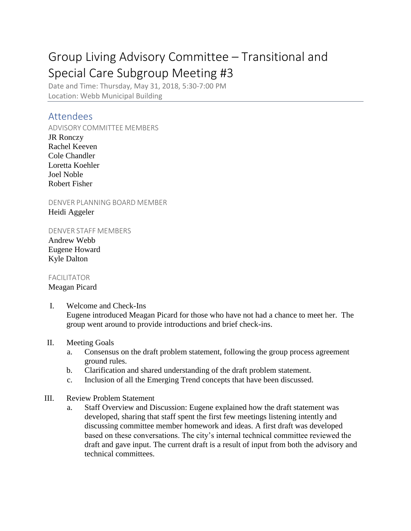# Group Living Advisory Committee – Transitional and Special Care Subgroup Meeting #3

Date and Time: Thursday, May 31, 2018, 5:30-7:00 PM Location: Webb Municipal Building

## Attendees

ADVISORY COMMITTEE MEMBERS

JR Ronczy Rachel Keeven Cole Chandler Loretta Koehler Joel Noble Robert Fisher

DENVER PLANNING BOARD MEMBER Heidi Aggeler

DENVER STAFF MEMBERS

Andrew Webb Eugene Howard Kyle Dalton

#### FACILITATOR

#### Meagan Picard

I. Welcome and Check-Ins Eugene introduced Meagan Picard for those who have not had a chance to meet her. The group went around to provide introductions and brief check-ins.

### II. Meeting Goals

- a. Consensus on the draft problem statement, following the group process agreement ground rules.
- b. Clarification and shared understanding of the draft problem statement.
- c. Inclusion of all the Emerging Trend concepts that have been discussed.

#### III. Review Problem Statement

a. Staff Overview and Discussion: Eugene explained how the draft statement was developed, sharing that staff spent the first few meetings listening intently and discussing committee member homework and ideas. A first draft was developed based on these conversations. The city's internal technical committee reviewed the draft and gave input. The current draft is a result of input from both the advisory and technical committees.